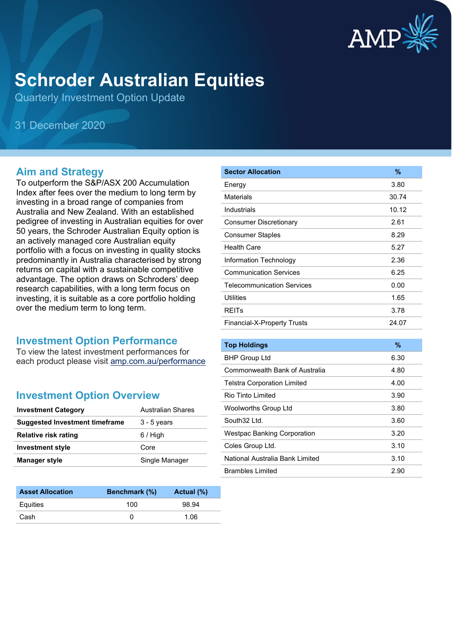

# **Schroder Australian Equities**

Quarterly Investment Option Update

31 December 2020

## **Aim and Strategy**

To outperform the S&P/ASX 200 Accumulation Index after fees over the medium to long term by investing in a broad range of companies from Australia and New Zealand. With an established pedigree of investing in Australian equities for over 50 years, the Schroder Australian Equity option is an actively managed core Australian equity portfolio with a focus on investing in quality stocks predominantly in Australia characterised by strong returns on capital with a sustainable competitive advantage. The option draws on Schroders' deep research capabilities, with a long term focus on investing, it is suitable as a core portfolio holding over the medium term to long term.

## **Investment Option Performance**

To view the latest investment performances for each product please visit [amp.com.au/performance](https://www.amp.com.au/performance)

## **Investment Option Overview**

| <b>Investment Category</b>            | Australian Shares |
|---------------------------------------|-------------------|
| <b>Suggested Investment timeframe</b> | $3 - 5$ years     |
| Relative risk rating                  | 6 / High          |
| <b>Investment style</b>               | Core              |
| <b>Manager style</b>                  | Single Manager    |

| <b>Asset Allocation</b> | <b>Benchmark</b> (%) | Actual (%) |
|-------------------------|----------------------|------------|
| Equities                | 100                  | 98.94      |
| Cash                    |                      | 1.06       |

| <b>Sector Allocation</b>           | %     |
|------------------------------------|-------|
| Energy                             | 3.80  |
| Materials                          | 30.74 |
| Industrials                        | 10.12 |
| <b>Consumer Discretionary</b>      | 2.61  |
| <b>Consumer Staples</b>            | 8.29  |
| <b>Health Care</b>                 | 5.27  |
| Information Technology             | 2.36  |
| <b>Communication Services</b>      | 6.25  |
| <b>Telecommunication Services</b>  | 0.00  |
| <b>Utilities</b>                   | 1.65  |
| <b>REIT<sub>s</sub></b>            | 3.78  |
| <b>Financial-X-Property Trusts</b> | 24.07 |

| <b>Top Holdings</b>                | $\%$ |
|------------------------------------|------|
| <b>BHP Group Ltd</b>               | 6.30 |
| Commonwealth Bank of Australia     | 4.80 |
| <b>Telstra Corporation Limited</b> | 4.00 |
| Rio Tinto Limited                  | 3.90 |
| Woolworths Group Ltd               | 3.80 |
| South32 Ltd.                       | 3.60 |
| <b>Westpac Banking Corporation</b> | 3.20 |
| Coles Group Ltd.                   | 3.10 |
| National Australia Bank Limited    | 3.10 |
| Brambles Limited                   | 2.90 |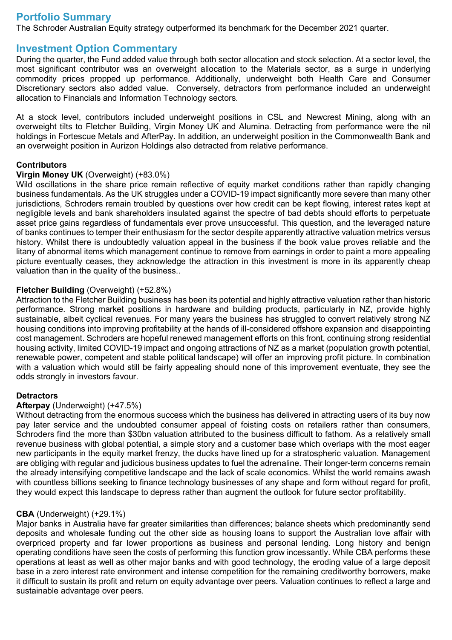## **Portfolio Summary**

The Schroder Australian Equity strategy outperformed its benchmark for the December 2021 quarter.

## **Investment Option Commentary**

During the quarter, the Fund added value through both sector allocation and stock selection. At a sector level, the most significant contributor was an overweight allocation to the Materials sector, as a surge in underlying commodity prices propped up performance. Additionally, underweight both Health Care and Consumer Discretionary sectors also added value. Conversely, detractors from performance included an underweight allocation to Financials and Information Technology sectors.

At a stock level, contributors included underweight positions in CSL and Newcrest Mining, along with an overweight tilts to Fletcher Building, Virgin Money UK and Alumina. Detracting from performance were the nil holdings in Fortescue Metals and AfterPay. In addition, an underweight position in the Commonwealth Bank and an overweight position in Aurizon Holdings also detracted from relative performance.

### **Contributors**

### **Virgin Money UK** (Overweight) (+83.0%)

Wild oscillations in the share price remain reflective of equity market conditions rather than rapidly changing business fundamentals. As the UK struggles under a COVID-19 impact significantly more severe than many other jurisdictions, Schroders remain troubled by questions over how credit can be kept flowing, interest rates kept at negligible levels and bank shareholders insulated against the spectre of bad debts should efforts to perpetuate asset price gains regardless of fundamentals ever prove unsuccessful. This question, and the leveraged nature of banks continues to temper their enthusiasm for the sector despite apparently attractive valuation metrics versus history. Whilst there is undoubtedly valuation appeal in the business if the book value proves reliable and the litany of abnormal items which management continue to remove from earnings in order to paint a more appealing picture eventually ceases, they acknowledge the attraction in this investment is more in its apparently cheap valuation than in the quality of the business..

#### **Fletcher Building** (Overweight) (+52.8%)

Attraction to the Fletcher Building business has been its potential and highly attractive valuation rather than historic performance. Strong market positions in hardware and building products, particularly in NZ, provide highly sustainable, albeit cyclical revenues. For many years the business has struggled to convert relatively strong NZ housing conditions into improving profitability at the hands of ill-considered offshore expansion and disappointing cost management. Schroders are hopeful renewed management efforts on this front, continuing strong residential housing activity, limited COVID-19 impact and ongoing attractions of NZ as a market (population growth potential, renewable power, competent and stable political landscape) will offer an improving profit picture. In combination with a valuation which would still be fairly appealing should none of this improvement eventuate, they see the odds strongly in investors favour.

### **Detractors**

### **Afterpay** (Underweight) (+47.5%)

Without detracting from the enormous success which the business has delivered in attracting users of its buy now pay later service and the undoubted consumer appeal of foisting costs on retailers rather than consumers, Schroders find the more than \$30bn valuation attributed to the business difficult to fathom. As a relatively small revenue business with global potential, a simple story and a customer base which overlaps with the most eager new participants in the equity market frenzy, the ducks have lined up for a stratospheric valuation. Management are obliging with regular and judicious business updates to fuel the adrenaline. Their longer-term concerns remain the already intensifying competitive landscape and the lack of scale economics. Whilst the world remains awash with countless billions seeking to finance technology businesses of any shape and form without regard for profit, they would expect this landscape to depress rather than augment the outlook for future sector profitability.

### **CBA** (Underweight) (+29.1%)

Major banks in Australia have far greater similarities than differences; balance sheets which predominantly send deposits and wholesale funding out the other side as housing loans to support the Australian love affair with overpriced property and far lower proportions as business and personal lending. Long history and benign operating conditions have seen the costs of performing this function grow incessantly. While CBA performs these operations at least as well as other major banks and with good technology, the eroding value of a large deposit base in a zero interest rate environment and intense competition for the remaining creditworthy borrowers, make it difficult to sustain its profit and return on equity advantage over peers. Valuation continues to reflect a large and sustainable advantage over peers.